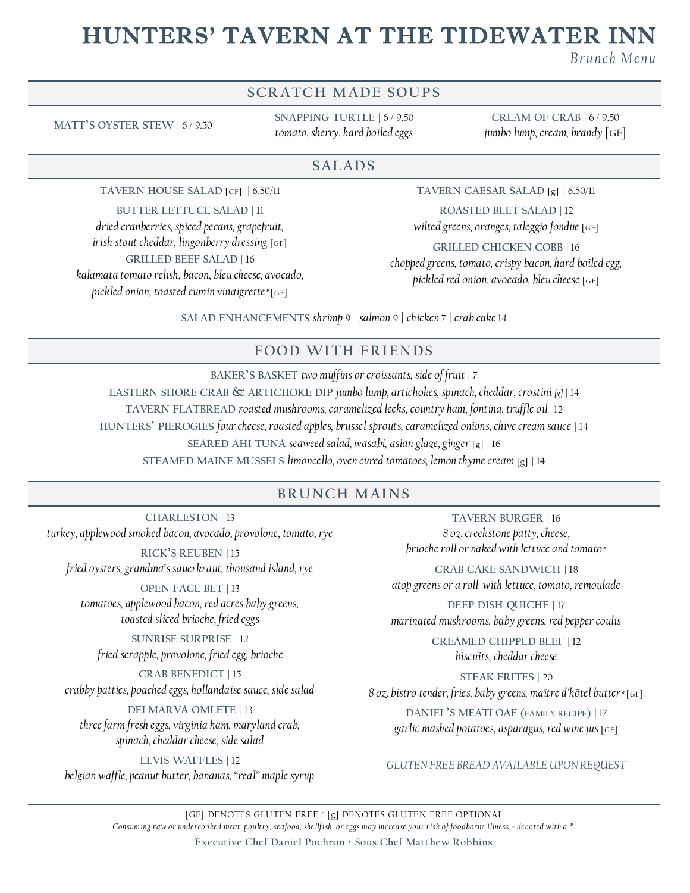# HUNTERS' TAVERN AT THE TIDEWATER INN

*B ru n ch M e n u*

## **SCRATCH MADE SOUPS**

**MATT'S OYSTER STEW** | 6 / 9.50

**SNAPPING TURTLE** | 6 / 9.50 *tomato, sherry, hard boiled eggs*

**CREAM OF CRAB** | 6 / 9.50 *jumbo lump, cream, brandy* [GF]

#### **SAL AD S**

**TAVERN HOUSE SALAD** [GF] | 6.50/11

#### **BUTTER LETTUCE SALAD** | 11

*dried cranberries, spiced pecans, grapefruit, irish stout cheddar, lingonberry dressing* [GF] **GRILLED BEEF SALAD** | 16 *kalamata tomato relish, bacon, bleu cheese, avocado, pickled onion, toasted cumin vinaigrette\** [GF]

**TAVERN CAESAR SALAD** [g] | 6.50/11

**ROASTED BEET SALAD** | 12 *wilted greens, oranges, taleggio fondue* [GF] **GRILLED CHICKEN COBB** | 16 *chopped greens, tomato, crispy bacon, hard boiled egg, pickled red onion, avocado, bleu cheese* [GF]

**SALAD ENHANCEMENTS** *shrimp* 9 *| salmon* 9 *| chicken* 7 *| crab cake* 14

## **FOOD WITH FRIENDS**

**BAKER'S BASKET** *two muffins or croissants, side of fruit* | 7 **EASTERN SHORE CRAB & ARTICHOKE DIP** *jumbo lump, artichokes, spinach, cheddar, crostini [g]* | 14 **TAVERN FLATBREAD** *roasted mushrooms, caramelized leeks, country ham, fontina, truffle oil* | 12 **HUNTERS' PIEROGIES** *four cheese, roasted apples, brussel sprouts, caramelized onions, chive cream sauce* | 14 **SEARED AHI TUNA** *seaweed salad, wasabi, asian glaze, ginger* [g] | 16 **STEAMED MAINE MUSSELS** *limoncello, oven cured tomatoes, lemon thyme cream* [g] | 14

#### **BRUNCH MAINS**

**CHARLESTON** | 13 *turkey, applewood smoked bacon, avocado, provolone, tomato, rye*

**RICK'S REUBEN** | 15 *fried oysters, grandma's sauerkraut, thousand island, rye*

**OPEN FACE BLT** | 13 *tomatoes, applewood bacon, red acres baby greens,* 

*toasted sliced brioche, fried eggs*  **SUNRISE SURPRISE** | 12

*fried scrapple, provolone, fried egg, brioche*

**CRAB BENEDICT** | 15 *crabby patties, poached eggs, hollandaise sauce, side salad*

**DELMARVA OMLETE** | 13 *three farm fresh eggs, virginia ham, maryland crab, spinach, cheddar cheese, side salad*

**ELVIS WAFFLES** | 12 *belgian waffle, peanut butter, bananas, "real" maple syrup*

**TAVERN BURGER** | 16 *8 oz. creekstone patty, cheese, brioche roll or naked with lettuce and tomato\** 

**CRAB CAKE SANDWICH** | 18 *atop greens or a roll with lettuce, tomato, remoulade*

**DEEP DISH QUICHE** | 17 *marinated mushrooms, baby greens, red pepper coulis*

> **CREAMED CHIPPED BEEF** | 12 *biscuits, cheddar cheese*

**STEAK FRITES** | 20 *8 oz. bistro tender, fries, baby greens, maître d'hôtel butter\** [GF] **DANIEL'S MEATLOAF (FAMILY RECIPE)** | 17 *garlic mashed potatoes, asparagus, red wine jus* [GF]

#### *GLUTEN FREE BREAD AVAILABLE UPON REQUEST*

[GF] DENOTES GLUTEN FREE ∙ [g] DENOTES GLUTEN FREE OPTIONAL *Consum ing raw or undercooked meat, poultry, seafood, she llf ish, or eggs may increase your risk of foodborne illness - denoted with a \*.*

**Executive Chef Daniel Pochron · Sous Chef Matthew Robbins**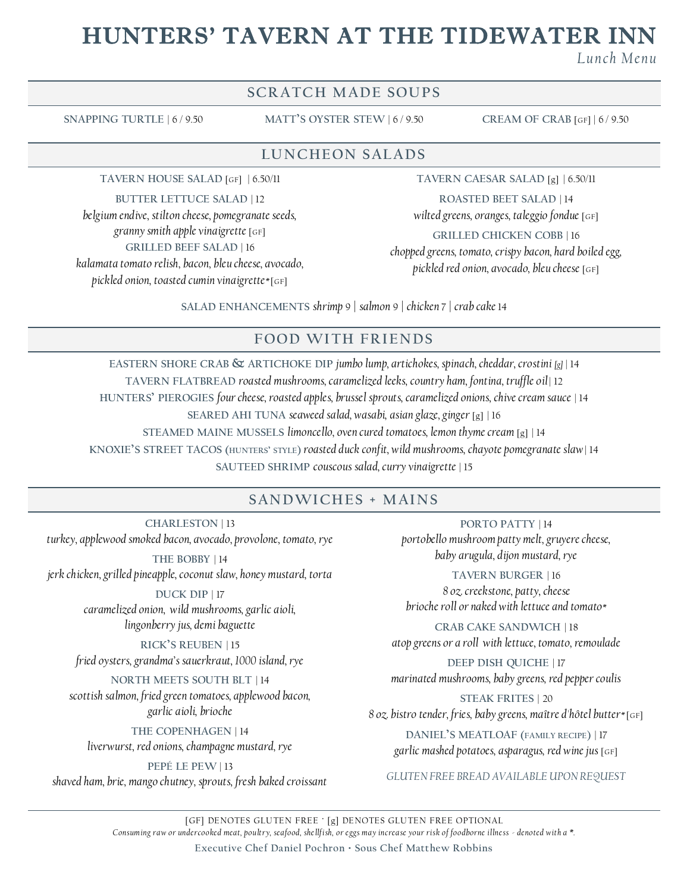# HUNTERS' TAVERN AT THE TIDEWATER INN

*L u n c h M e n u*

## **SCRATCH MADE SOUPS**

**SNAPPING TURTLE** | 6 / 9.50 **MATT'S OYSTER STEW** | 6 / 9.50 **CREAM OF CRAB** [GF] | 6 / 9.50

**LUNCHEON SALADS** 

**TAVERN HOUSE SALAD** [GF] | 6.50/11

**BUTTER LETTUCE SALAD** | 12 *belgium endive, stilton cheese, pomegranate seeds, granny smith apple vinaigrette* [GF] **GRILLED BEEF SALAD** | 16 *kalamata tomato relish, bacon, bleu cheese, avocado, pickled onion, toasted cumin vinaigrette\** [GF]

**TAVERN CAESAR SALAD** [g] | 6.50/11

**ROASTED BEET SALAD** | 14 *wilted greens, oranges, taleggio fondue* [GF]

**GRILLED CHICKEN COBB** | 16 *chopped greens, tomato, crispy bacon, hard boiled egg, pickled red onion, avocado, bleu cheese* [GF]

**SALAD ENHANCEMENTS** *shrimp* 9 *| salmon* 9 *| chicken* 7 *| crab cake* 14

#### **FOOD WITH FRIENDS**

**EASTERN SHORE CRAB & ARTICHOKE DIP** *jumbo lump, artichokes, spinach, cheddar, crostini [g]* | 14 **TAVERN FLATBREAD** *roasted mushrooms, caramelized leeks, country ham, fontina, truffle oil* | 12 **HUNTERS' PIEROGIES** *four cheese, roasted apples, brussel sprouts, caramelized onions, chive cream sauce* | 14 **SEARED AHI TUNA** *seaweed salad, wasabi, asian glaze, ginger* [g] | 16 **STEAMED MAINE MUSSELS** *limoncello, oven cured tomatoes, lemon thyme cream* [g] | 14 **KNOXIE'S STREET TACOS (HUNTERS' STYLE)** *roasted duck confit, wild mushrooms, chayote pomegranate slaw* | 14 **SAUTEED SHRIMP** *couscous salad, curry vinaigrette* | 15

#### **SAN D WI CHE S + M AI N S**

**CHARLESTON** | 13 *turkey, applewood smoked bacon, avocado, provolone, tomato, rye*

**THE BOBBY** | 14 *jerk chicken, grilled pineapple, coconut slaw, honey mustard, torta*

> **DUCK DIP** | 17 *caramelized onion, wild mushrooms, garlic aioli, lingonberry jus, demi baguette*

**RICK'S REUBEN** | 15 *fried oysters, grandma's sauerkraut, 1000 island, rye*

**NORTH MEETS SOUTH BLT** | 14 *scottish salmon, fried green tomatoes, applewood bacon, garlic aioli, brioche*

**THE COPENHAGEN** | 14 *liverwurst, red onions, champagne mustard, rye*

**PEPÉ LE PEW** | 13 *shaved ham, brie, mango chutney, sprouts, fresh baked croissant*

**PORTO PATTY** | 14 *portobello mushroom patty melt, gruyere cheese, baby arugula, dijon mustard, rye*

**TAVERN BURGER** | 16 *8 oz. creekstone, patty, cheese brioche roll or naked with lettuce and tomato\** 

**CRAB CAKE SANDWICH** | 18 *atop greens or a roll with lettuce, tomato, remoulade*

**DEEP DISH QUICHE** | 17 *marinated mushrooms, baby greens, red pepper coulis*

**STEAK FRITES** | 20 *8 oz. bistro tender, fries, baby greens, maître d'hôtel butter\** [GF] **DANIEL'S MEATLOAF (FAMILY RECIPE)** | 17

*garlic mashed potatoes, asparagus, red wine jus* [GF]

*GLUTEN FREE BREAD AVAILABLE UPON REQUEST*

[GF] DENOTES GLUTEN FREE ∙ [g] DENOTES GLUTEN FREE OPTIONAL *Consum ing raw or undercooked meat, poultry, seafood, she llf ish, or eggs may increase your risk of foodborne illness - denoted with a \*.* **Executive Chef Daniel Pochron · Sous Chef Matthew Robbins**